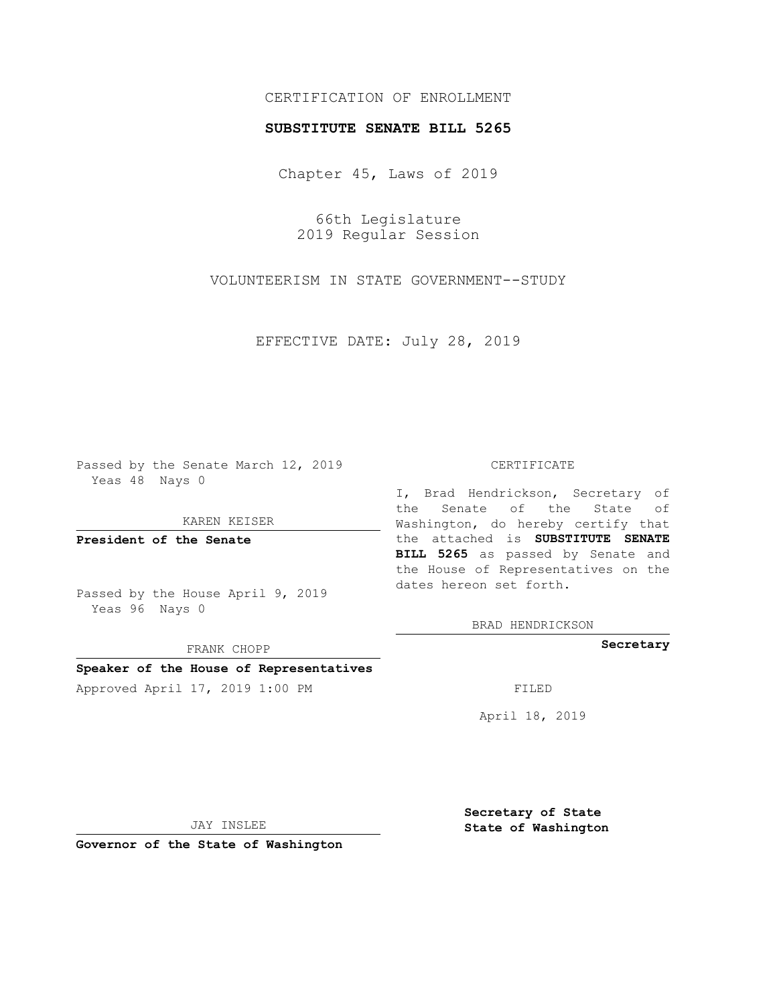## CERTIFICATION OF ENROLLMENT

## **SUBSTITUTE SENATE BILL 5265**

Chapter 45, Laws of 2019

66th Legislature 2019 Regular Session

VOLUNTEERISM IN STATE GOVERNMENT--STUDY

EFFECTIVE DATE: July 28, 2019

Passed by the Senate March 12, 2019 Yeas 48 Nays 0

KAREN KEISER

**President of the Senate**

Passed by the House April 9, 2019 Yeas 96 Nays 0

FRANK CHOPP

# **Speaker of the House of Representatives**

Approved April 17, 2019 1:00 PM FILED

#### CERTIFICATE

I, Brad Hendrickson, Secretary of the Senate of the State of Washington, do hereby certify that the attached is **SUBSTITUTE SENATE BILL 5265** as passed by Senate and the House of Representatives on the dates hereon set forth.

BRAD HENDRICKSON

**Secretary**

April 18, 2019

JAY INSLEE

**Governor of the State of Washington**

**Secretary of State State of Washington**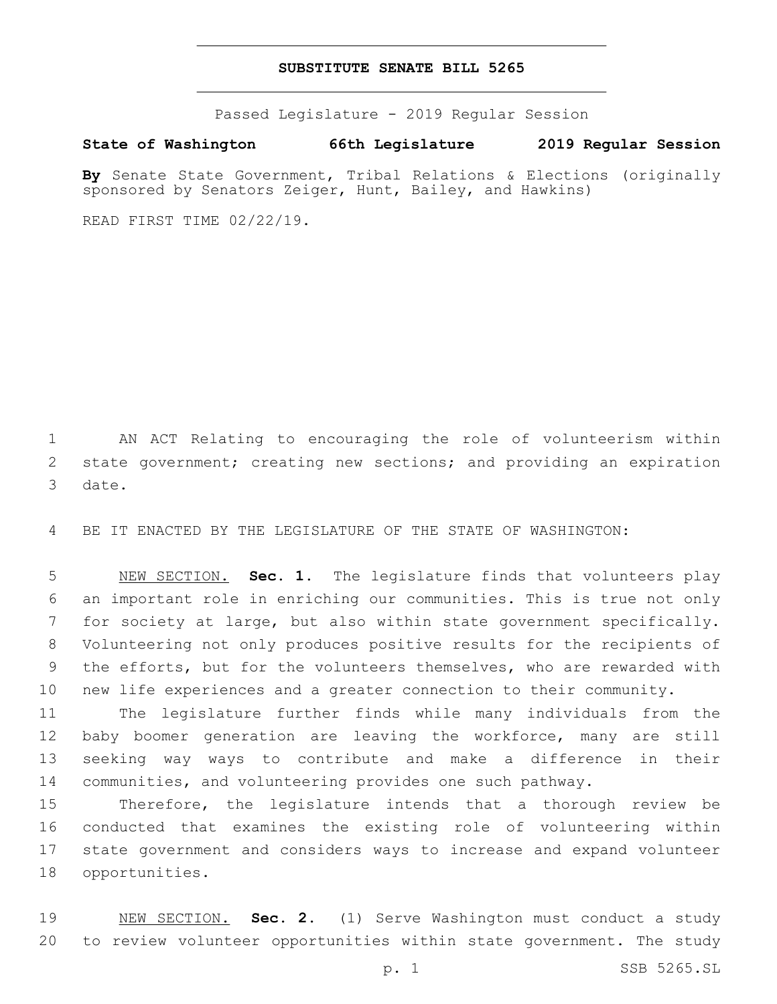## **SUBSTITUTE SENATE BILL 5265**

Passed Legislature - 2019 Regular Session

**State of Washington 66th Legislature 2019 Regular Session**

**By** Senate State Government, Tribal Relations & Elections (originally sponsored by Senators Zeiger, Hunt, Bailey, and Hawkins)

READ FIRST TIME 02/22/19.

 AN ACT Relating to encouraging the role of volunteerism within state government; creating new sections; and providing an expiration 3 date.

BE IT ENACTED BY THE LEGISLATURE OF THE STATE OF WASHINGTON:

 NEW SECTION. **Sec. 1.** The legislature finds that volunteers play an important role in enriching our communities. This is true not only for society at large, but also within state government specifically. Volunteering not only produces positive results for the recipients of the efforts, but for the volunteers themselves, who are rewarded with new life experiences and a greater connection to their community.

 The legislature further finds while many individuals from the baby boomer generation are leaving the workforce, many are still seeking way ways to contribute and make a difference in their communities, and volunteering provides one such pathway.

 Therefore, the legislature intends that a thorough review be conducted that examines the existing role of volunteering within state government and considers ways to increase and expand volunteer 18 opportunities.

 NEW SECTION. **Sec. 2.** (1) Serve Washington must conduct a study to review volunteer opportunities within state government. The study